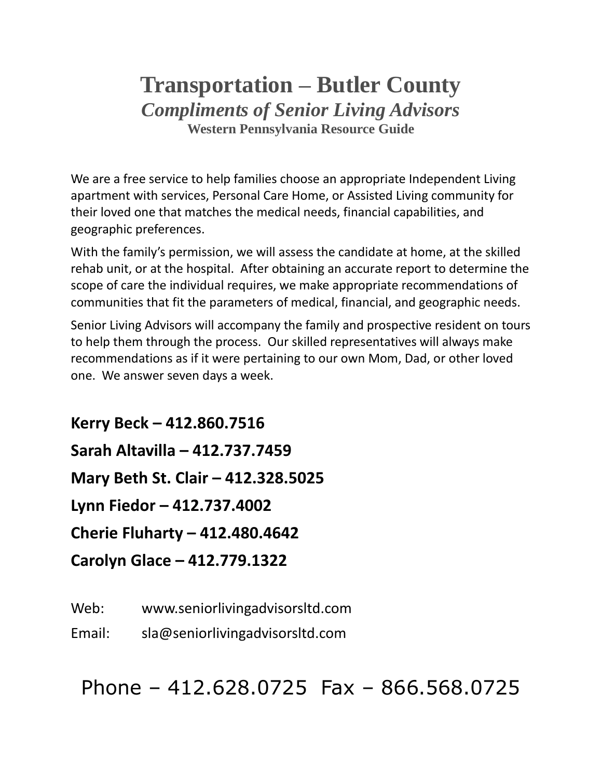## **Transportation – Butler County** *Compliments of Senior Living Advisors* **Western Pennsylvania Resource Guide**

We are a free service to help families choose an appropriate Independent Living apartment with services, Personal Care Home, or Assisted Living community for their loved one that matches the medical needs, financial capabilities, and geographic preferences.

With the family's permission, we will assess the candidate at home, at the skilled rehab unit, or at the hospital. After obtaining an accurate report to determine the scope of care the individual requires, we make appropriate recommendations of communities that fit the parameters of medical, financial, and geographic needs.

Senior Living Advisors will accompany the family and prospective resident on tours to help them through the process. Our skilled representatives will always make recommendations as if it were pertaining to our own Mom, Dad, or other loved one. We answer seven days a week.

**Kerry Beck – 412.860.7516 Sarah Altavilla – 412.737.7459 Mary Beth St. Clair – 412.328.5025 Lynn Fiedor – 412.737.4002 Cherie Fluharty – 412.480.4642 Carolyn Glace – 412.779.1322**

Web: www.seniorlivingadvisorsltd.com

Email: sla@seniorlivingadvisorsltd.com

Phone – 412.628.0725 Fax – 866.568.0725